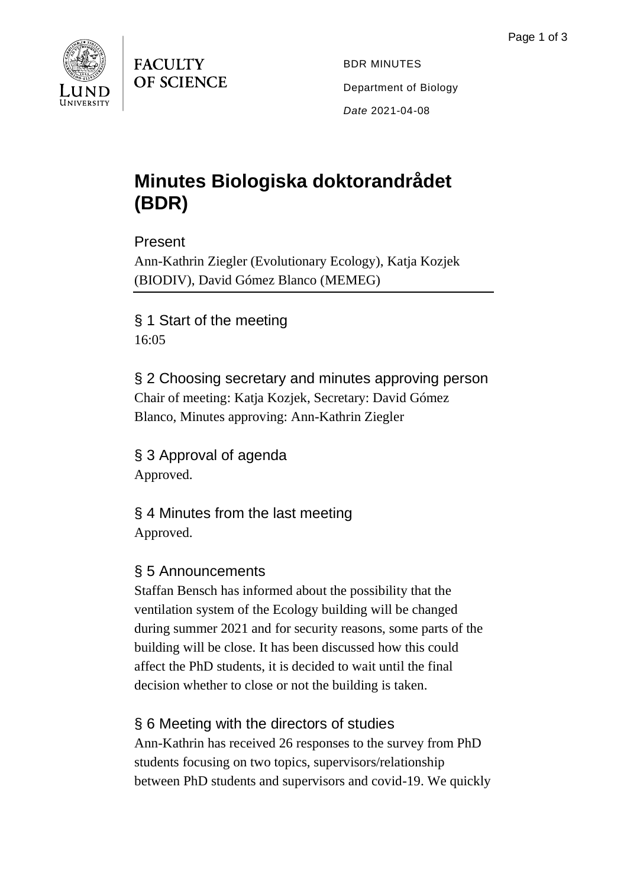

**FACULTY OF SCIENCE** 

BDR MINUTES Department of Biology *Date* 2021-04-08

## **Minutes Biologiska doktorandrådet (BDR)**

Present

Ann-Kathrin Ziegler (Evolutionary Ecology), Katja Kozjek (BIODIV), David Gómez Blanco (MEMEG)

§ 1 Start of the meeting 16:05

§ 2 Choosing secretary and minutes approving person Chair of meeting: Katja Kozjek, Secretary: David Gómez Blanco, Minutes approving: Ann-Kathrin Ziegler

§ 3 Approval of agenda Approved.

§ 4 Minutes from the last meeting Approved.

## § 5 Announcements

Staffan Bensch has informed about the possibility that the ventilation system of the Ecology building will be changed during summer 2021 and for security reasons, some parts of the building will be close. It has been discussed how this could affect the PhD students, it is decided to wait until the final decision whether to close or not the building is taken.

§ 6 Meeting with the directors of studies

Ann-Kathrin has received 26 responses to the survey from PhD students focusing on two topics, supervisors/relationship between PhD students and supervisors and covid-19. We quickly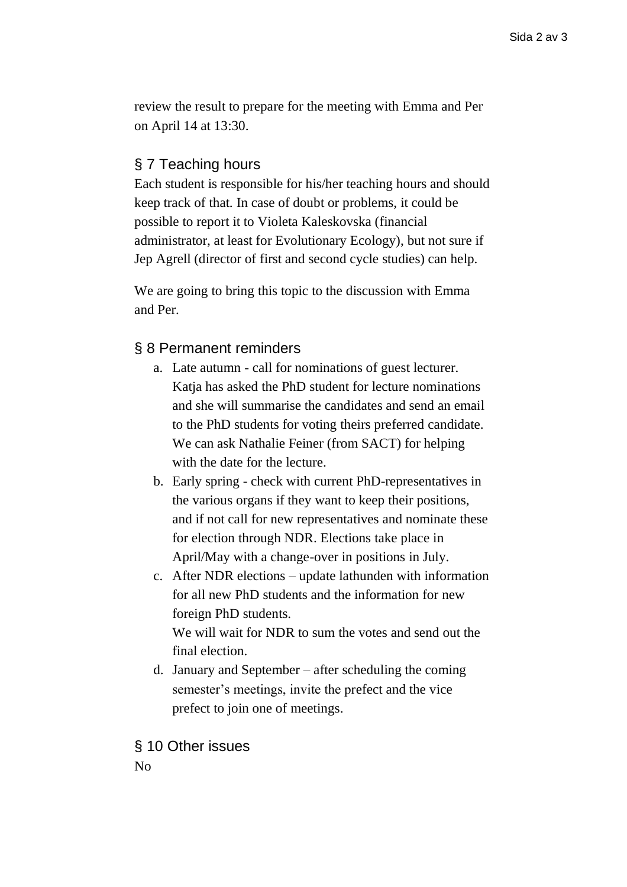review the result to prepare for the meeting with Emma and Per on April 14 at 13:30.

## § 7 Teaching hours

Each student is responsible for his/her teaching hours and should keep track of that. In case of doubt or problems, it could be possible to report it to Violeta Kaleskovska (financial administrator, at least for Evolutionary Ecology), but not sure if Jep Agrell (director of first and second cycle studies) can help.

We are going to bring this topic to the discussion with Emma and Per.

## § 8 Permanent reminders

- a. Late autumn call for nominations of guest lecturer. Katia has asked the PhD student for lecture nominations and she will summarise the candidates and send an email to the PhD students for voting theirs preferred candidate. We can ask Nathalie Feiner (from SACT) for helping with the date for the lecture.
- b. Early spring check with current PhD-representatives in the various organs if they want to keep their positions, and if not call for new representatives and nominate these for election through NDR. Elections take place in April/May with a change-over in positions in July.
- c. After NDR elections update lathunden with information for all new PhD students and the information for new foreign PhD students.

We will wait for NDR to sum the votes and send out the final election.

d. January and September – after scheduling the coming semester's meetings, invite the prefect and the vice prefect to join one of meetings.

§ 10 Other issues No